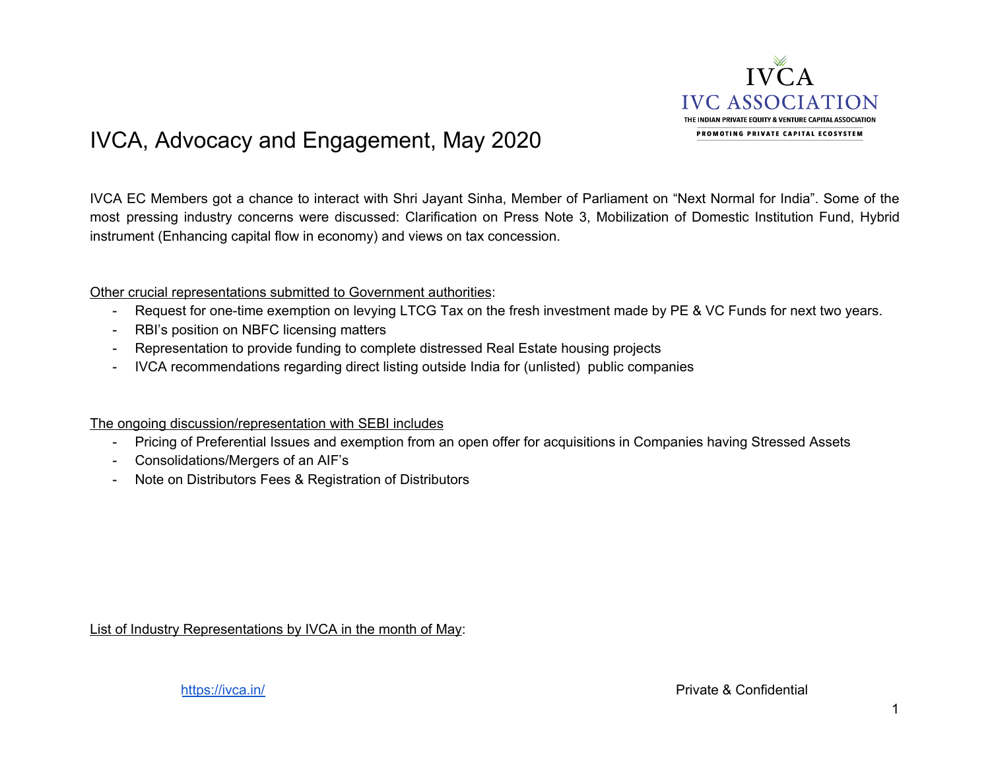

## IVCA, Advocacy and Engagement, May 2020

IVCA EC Members got a chance to interact with Shri Jayant Sinha, Member of Parliament on "Next Normal for India". Some of the most pressing industry concerns were discussed: Clarification on Press Note 3, Mobilization of Domestic Institution Fund, Hybrid instrument (Enhancing capital flow in economy) and views on tax concession.

Other crucial representations submitted to Government authorities:

- Request for one-time exemption on levying LTCG Tax on the fresh investment made by PE & VC Funds for next two years.
- RBI's position on NBFC licensing matters
- Representation to provide funding to complete distressed Real Estate housing projects
- IVCA recommendations regarding direct listing outside India for (unlisted) public companies

The ongoing discussion/representation with SEBI includes

- Pricing of Preferential Issues and exemption from an open offer for acquisitions in Companies having Stressed Assets
- Consolidations/Mergers of an AIF's
- Note on Distributors Fees & Registration of Distributors

List of Industry Representations by IVCA in the month of May: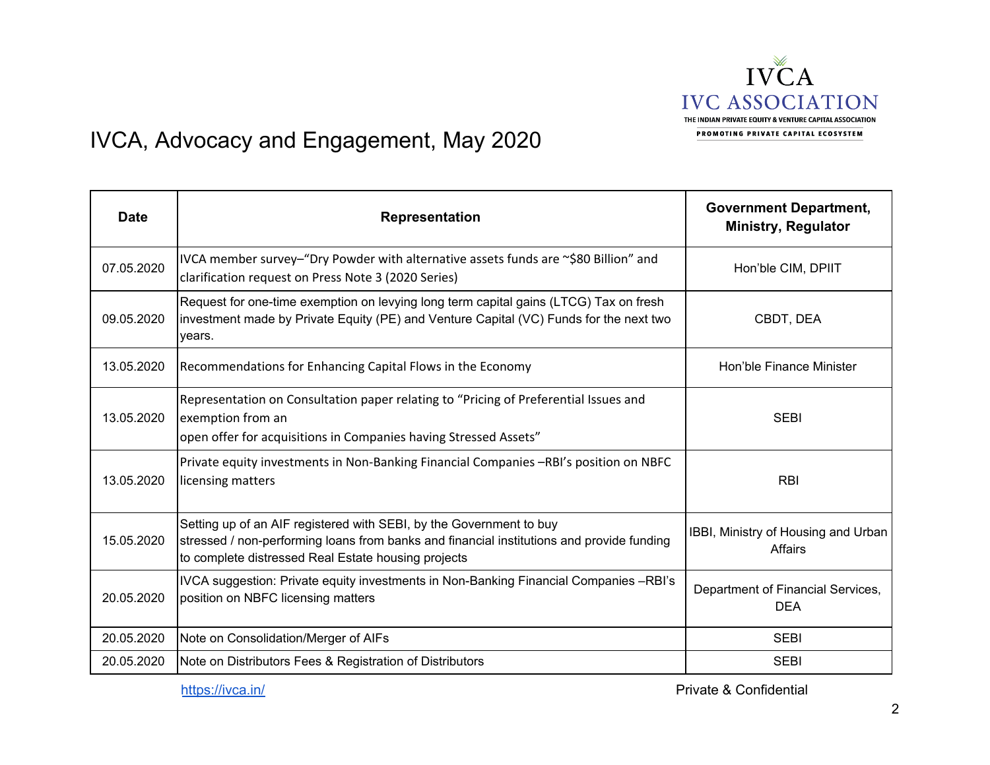

## IVCA, Advocacy and Engagement, May 2020

| <b>Date</b> | <b>Representation</b>                                                                                                                                                                                                   | <b>Government Department,</b><br><b>Ministry, Regulator</b> |
|-------------|-------------------------------------------------------------------------------------------------------------------------------------------------------------------------------------------------------------------------|-------------------------------------------------------------|
| 07.05.2020  | IVCA member survey-"Dry Powder with alternative assets funds are ~\$80 Billion" and<br>clarification request on Press Note 3 (2020 Series)                                                                              | Hon'ble CIM, DPIIT                                          |
| 09.05.2020  | Request for one-time exemption on levying long term capital gains (LTCG) Tax on fresh<br>investment made by Private Equity (PE) and Venture Capital (VC) Funds for the next two<br>years.                               | CBDT, DEA                                                   |
| 13.05.2020  | Recommendations for Enhancing Capital Flows in the Economy                                                                                                                                                              | Hon'ble Finance Minister                                    |
| 13.05.2020  | Representation on Consultation paper relating to "Pricing of Preferential Issues and<br>exemption from an<br>open offer for acquisitions in Companies having Stressed Assets"                                           | <b>SEBI</b>                                                 |
| 13.05.2020  | Private equity investments in Non-Banking Financial Companies -RBI's position on NBFC<br>licensing matters                                                                                                              | <b>RBI</b>                                                  |
| 15.05.2020  | Setting up of an AIF registered with SEBI, by the Government to buy<br>stressed / non-performing loans from banks and financial institutions and provide funding<br>to complete distressed Real Estate housing projects | IBBI, Ministry of Housing and Urban<br>Affairs              |
| 20.05.2020  | IVCA suggestion: Private equity investments in Non-Banking Financial Companies -RBI's<br>position on NBFC licensing matters                                                                                             | Department of Financial Services,<br><b>DEA</b>             |
| 20.05.2020  | Note on Consolidation/Merger of AIFs                                                                                                                                                                                    | <b>SEBI</b>                                                 |
| 20.05.2020  | Note on Distributors Fees & Registration of Distributors                                                                                                                                                                | <b>SEBI</b>                                                 |